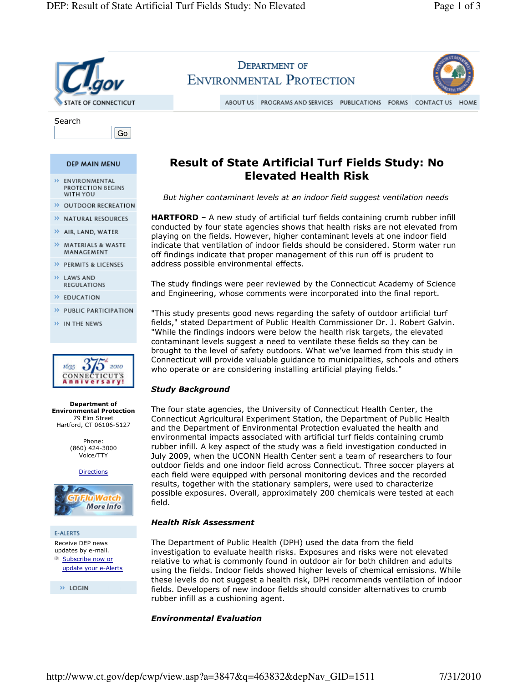

## Environmental Evaluation

http://www.ct.gov/dep/cwp/view.asp?a=3847&q=463832&depNav\_GID=1511 7/31/2010